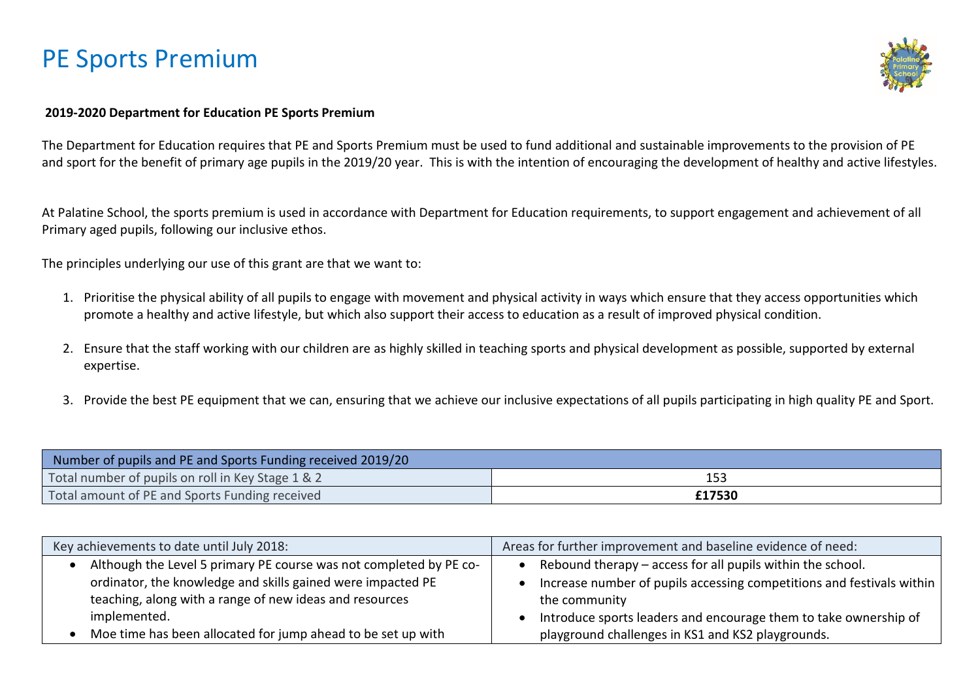

#### **2019-2020 Department for Education PE Sports Premium**

The Department for Education requires that PE and Sports Premium must be used to fund additional and sustainable improvements to the provision of PE and sport for the benefit of primary age pupils in the 2019/20 year. This is with the intention of encouraging the development of healthy and active lifestyles.

At Palatine School, the sports premium is used in accordance with Department for Education requirements, to support engagement and achievement of all Primary aged pupils, following our inclusive ethos.

The principles underlying our use of this grant are that we want to:

- 1. Prioritise the physical ability of all pupils to engage with movement and physical activity in ways which ensure that they access opportunities which promote a healthy and active lifestyle, but which also support their access to education as a result of improved physical condition.
- 2. Ensure that the staff working with our children are as highly skilled in teaching sports and physical development as possible, supported by external expertise.
- 3. Provide the best PE equipment that we can, ensuring that we achieve our inclusive expectations of all pupils participating in high quality PE and Sport.

| Number of pupils and PE and Sports Funding received 2019/20 |        |  |  |
|-------------------------------------------------------------|--------|--|--|
| Total number of pupils on roll in Key Stage 1 & 2<br>153    |        |  |  |
| Total amount of PE and Sports Funding received              | £17530 |  |  |

| Key achievements to date until July 2018:                          | Areas for further improvement and baseline evidence of need:          |
|--------------------------------------------------------------------|-----------------------------------------------------------------------|
| Although the Level 5 primary PE course was not completed by PE co- | Rebound therapy - access for all pupils within the school.            |
| ordinator, the knowledge and skills gained were impacted PE        | Increase number of pupils accessing competitions and festivals within |
| teaching, along with a range of new ideas and resources            | the community                                                         |
| implemented.                                                       | Introduce sports leaders and encourage them to take ownership of      |
| Moe time has been allocated for jump ahead to be set up with       | playground challenges in KS1 and KS2 playgrounds.                     |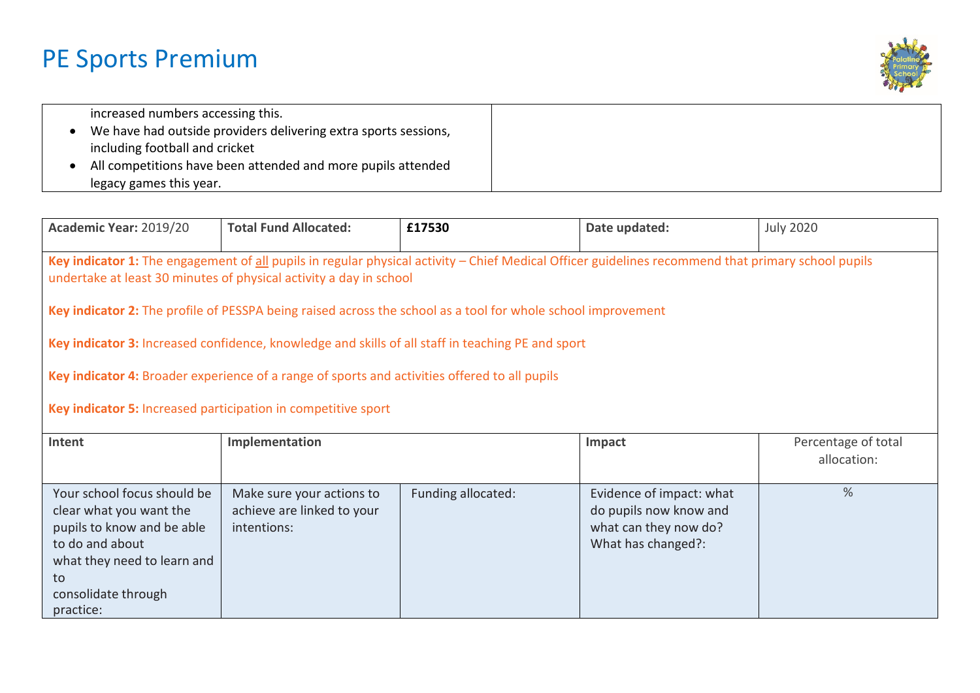

| increased numbers accessing this.                               |  |
|-----------------------------------------------------------------|--|
| We have had outside providers delivering extra sports sessions, |  |
| including football and cricket                                  |  |
| All competitions have been attended and more pupils attended    |  |
| legacy games this year.                                         |  |

| Academic Year: 2019/20                                                                                                                                                                                                                                                                                                                                                                                                                                                                                                                                                                                          | <b>Total Fund Allocated:</b>                                           | £17530             | Date updated:                                                                                     | <b>July 2020</b>                   |  |
|-----------------------------------------------------------------------------------------------------------------------------------------------------------------------------------------------------------------------------------------------------------------------------------------------------------------------------------------------------------------------------------------------------------------------------------------------------------------------------------------------------------------------------------------------------------------------------------------------------------------|------------------------------------------------------------------------|--------------------|---------------------------------------------------------------------------------------------------|------------------------------------|--|
| Key indicator 1: The engagement of all pupils in regular physical activity - Chief Medical Officer guidelines recommend that primary school pupils<br>undertake at least 30 minutes of physical activity a day in school<br>Key indicator 2: The profile of PESSPA being raised across the school as a tool for whole school improvement<br>Key indicator 3: Increased confidence, knowledge and skills of all staff in teaching PE and sport<br>Key indicator 4: Broader experience of a range of sports and activities offered to all pupils<br>Key indicator 5: Increased participation in competitive sport |                                                                        |                    |                                                                                                   |                                    |  |
| Intent                                                                                                                                                                                                                                                                                                                                                                                                                                                                                                                                                                                                          | Implementation                                                         |                    | Impact                                                                                            | Percentage of total<br>allocation: |  |
| Your school focus should be<br>clear what you want the<br>pupils to know and be able<br>to do and about<br>what they need to learn and<br>to<br>consolidate through<br>practice:                                                                                                                                                                                                                                                                                                                                                                                                                                | Make sure your actions to<br>achieve are linked to your<br>intentions: | Funding allocated: | Evidence of impact: what<br>do pupils now know and<br>what can they now do?<br>What has changed?: | $\frac{0}{0}$                      |  |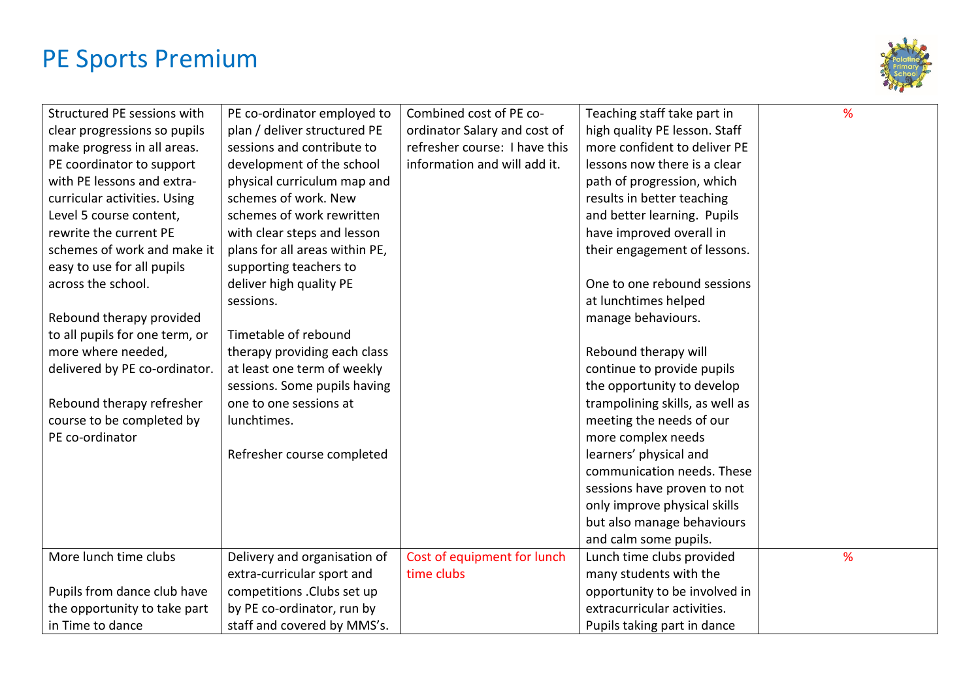

| Structured PE sessions with    | PE co-ordinator employed to    | Combined cost of PE co-       | Teaching staff take part in     | % |
|--------------------------------|--------------------------------|-------------------------------|---------------------------------|---|
| clear progressions so pupils   | plan / deliver structured PE   | ordinator Salary and cost of  | high quality PE lesson. Staff   |   |
| make progress in all areas.    | sessions and contribute to     | refresher course: I have this | more confident to deliver PE    |   |
| PE coordinator to support      | development of the school      | information and will add it.  | lessons now there is a clear    |   |
| with PE lessons and extra-     | physical curriculum map and    |                               | path of progression, which      |   |
| curricular activities. Using   | schemes of work. New           |                               | results in better teaching      |   |
| Level 5 course content,        | schemes of work rewritten      |                               | and better learning. Pupils     |   |
| rewrite the current PE         | with clear steps and lesson    |                               | have improved overall in        |   |
| schemes of work and make it    | plans for all areas within PE, |                               | their engagement of lessons.    |   |
| easy to use for all pupils     | supporting teachers to         |                               |                                 |   |
| across the school.             | deliver high quality PE        |                               | One to one rebound sessions     |   |
|                                | sessions.                      |                               | at lunchtimes helped            |   |
| Rebound therapy provided       |                                |                               | manage behaviours.              |   |
| to all pupils for one term, or | Timetable of rebound           |                               |                                 |   |
| more where needed,             | therapy providing each class   |                               | Rebound therapy will            |   |
| delivered by PE co-ordinator.  | at least one term of weekly    |                               | continue to provide pupils      |   |
|                                | sessions. Some pupils having   |                               | the opportunity to develop      |   |
| Rebound therapy refresher      | one to one sessions at         |                               | trampolining skills, as well as |   |
| course to be completed by      | lunchtimes.                    |                               | meeting the needs of our        |   |
| PE co-ordinator                |                                |                               | more complex needs              |   |
|                                | Refresher course completed     |                               | learners' physical and          |   |
|                                |                                |                               | communication needs. These      |   |
|                                |                                |                               | sessions have proven to not     |   |
|                                |                                |                               | only improve physical skills    |   |
|                                |                                |                               | but also manage behaviours      |   |
|                                |                                |                               | and calm some pupils.           |   |
| More lunch time clubs          | Delivery and organisation of   | Cost of equipment for lunch   | Lunch time clubs provided       | % |
|                                | extra-curricular sport and     | time clubs                    | many students with the          |   |
| Pupils from dance club have    | competitions . Clubs set up    |                               | opportunity to be involved in   |   |
| the opportunity to take part   | by PE co-ordinator, run by     |                               | extracurricular activities.     |   |
| in Time to dance               | staff and covered by MMS's.    |                               | Pupils taking part in dance     |   |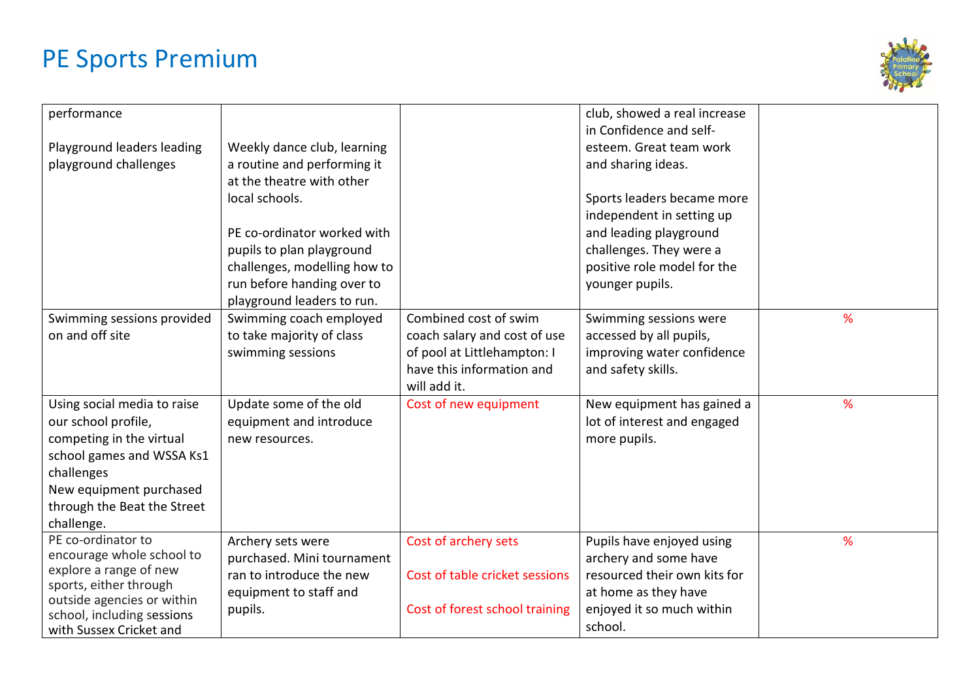

| performance<br>Playground leaders leading<br>playground challenges                                                                                                                                | Weekly dance club, learning<br>a routine and performing it<br>at the theatre with other<br>local schools.<br>PE co-ordinator worked with<br>pupils to plan playground<br>challenges, modelling how to<br>run before handing over to<br>playground leaders to run. |                                                                                                                                   | club, showed a real increase<br>in Confidence and self-<br>esteem. Great team work<br>and sharing ideas.<br>Sports leaders became more<br>independent in setting up<br>and leading playground<br>challenges. They were a<br>positive role model for the<br>younger pupils. |   |
|---------------------------------------------------------------------------------------------------------------------------------------------------------------------------------------------------|-------------------------------------------------------------------------------------------------------------------------------------------------------------------------------------------------------------------------------------------------------------------|-----------------------------------------------------------------------------------------------------------------------------------|----------------------------------------------------------------------------------------------------------------------------------------------------------------------------------------------------------------------------------------------------------------------------|---|
| Swimming sessions provided<br>on and off site                                                                                                                                                     | Swimming coach employed<br>to take majority of class<br>swimming sessions                                                                                                                                                                                         | Combined cost of swim<br>coach salary and cost of use<br>of pool at Littlehampton: I<br>have this information and<br>will add it. | Swimming sessions were<br>accessed by all pupils,<br>improving water confidence<br>and safety skills.                                                                                                                                                                      | % |
| Using social media to raise<br>our school profile,<br>competing in the virtual<br>school games and WSSA Ks1<br>challenges<br>New equipment purchased<br>through the Beat the Street<br>challenge. | Update some of the old<br>equipment and introduce<br>new resources.                                                                                                                                                                                               | Cost of new equipment                                                                                                             | New equipment has gained a<br>lot of interest and engaged<br>more pupils.                                                                                                                                                                                                  | % |
| PE co-ordinator to<br>encourage whole school to<br>explore a range of new<br>sports, either through<br>outside agencies or within<br>school, including sessions<br>with Sussex Cricket and        | Archery sets were<br>purchased. Mini tournament<br>ran to introduce the new<br>equipment to staff and<br>pupils.                                                                                                                                                  | Cost of archery sets<br>Cost of table cricket sessions<br>Cost of forest school training                                          | Pupils have enjoyed using<br>archery and some have<br>resourced their own kits for<br>at home as they have<br>enjoyed it so much within<br>school.                                                                                                                         | % |